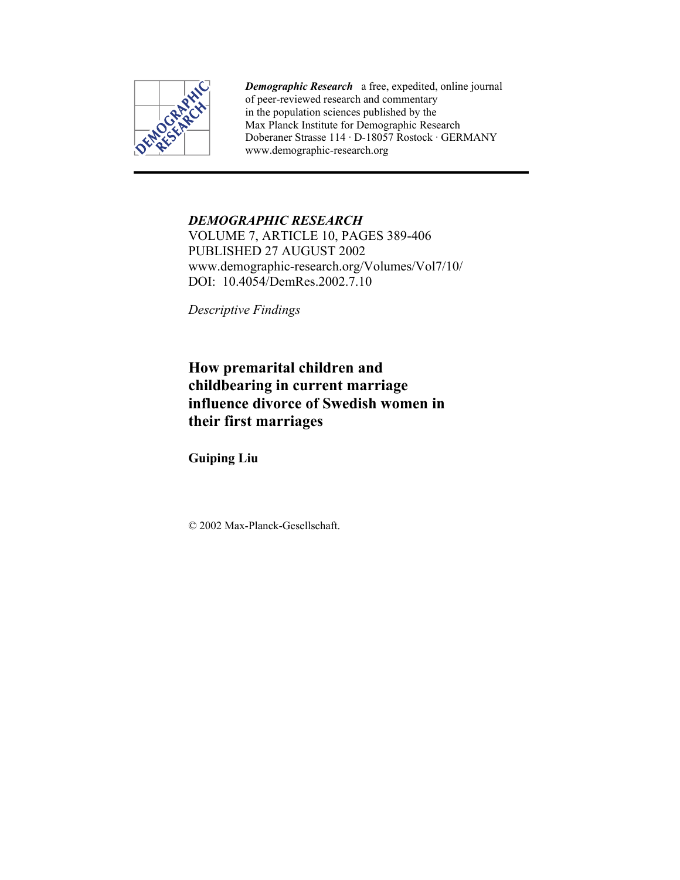

*Demographic Research* a free, expedited, online journal of peer-reviewed research and commentary in the population sciences published by the Max Planck Institute for Demographic Research Doberaner Strasse 114 · D-18057 Rostock · GERMANY www.demographic-research.org

## *DEMOGRAPHIC RESEARCH*

VOLUME 7, ARTICLE 10, PAGES 389-406 PUBLISHED 27 AUGUST 2002 www.demographic-research.org/Volumes/Vol7/10/ DOI: 10.4054/DemRes.2002.7.10

*Descriptive Findings* 

# **How premarital children and childbearing in current marriage influence divorce of Swedish women in their first marriages**

**Guiping Liu** 

© 2002 Max-Planck-Gesellschaft.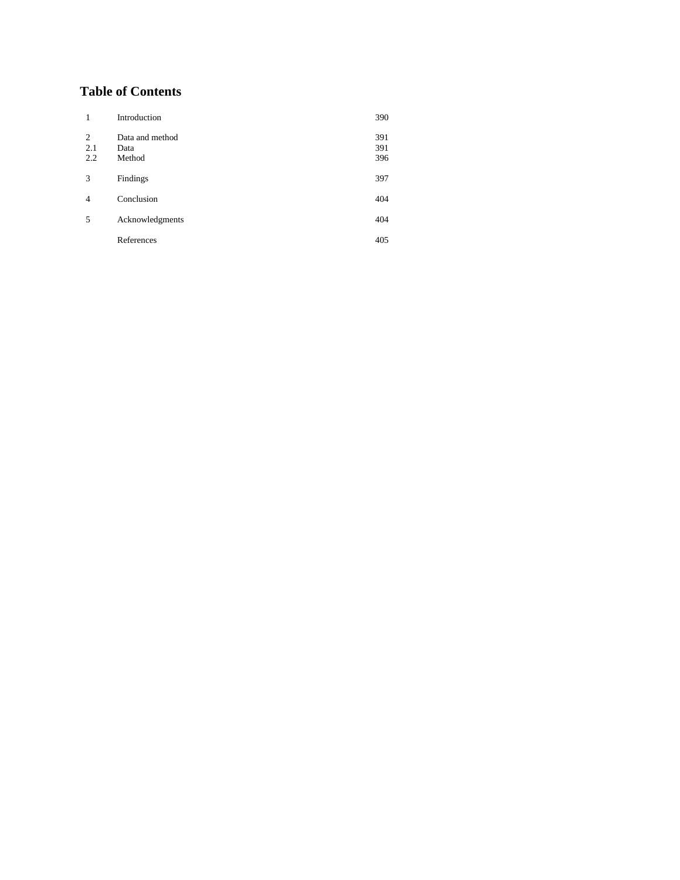# **Table of Contents**

| 1               | Introduction                      | 390               |
|-----------------|-----------------------------------|-------------------|
| 2<br>2.1<br>2.2 | Data and method<br>Data<br>Method | 391<br>391<br>396 |
| 3               | Findings                          | 397               |
| $\overline{4}$  | Conclusion                        | 404               |
| 5               | Acknowledgments                   | 404               |
|                 | References                        | 405               |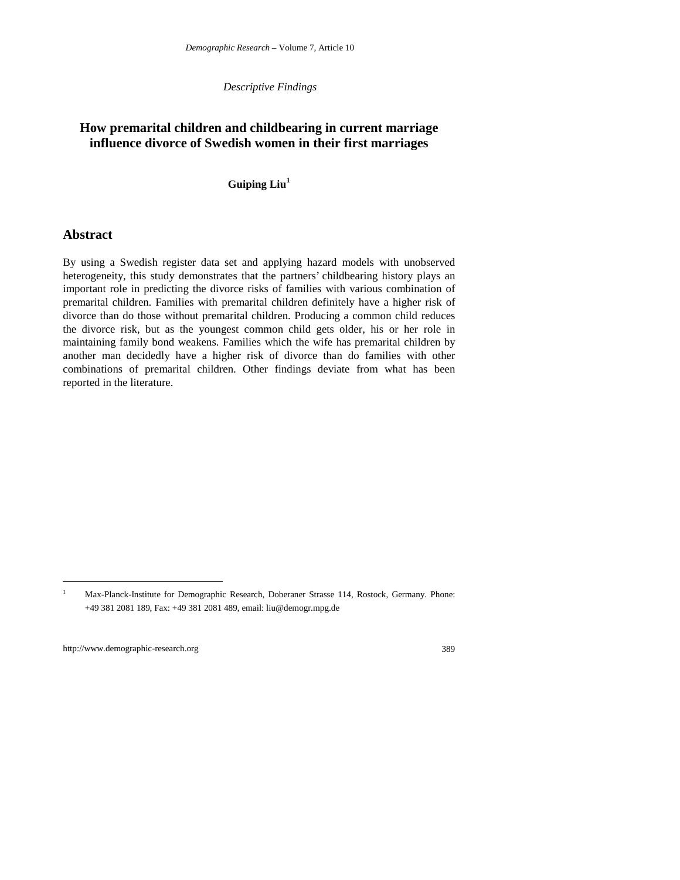*Descriptive Findings*

## **How premarital children and childbearing in current marriage influence divorce of Swedish women in their first marriages**

#### **Guiping Liu<sup>1</sup>**

### **Abstract**

By using a Swedish register data set and applying hazard models with unobserved heterogeneity, this study demonstrates that the partners' childbearing history plays an important role in predicting the divorce risks of families with various combination of premarital children. Families with premarital children definitely have a higher risk of divorce than do those without premarital children. Producing a common child reduces the divorce risk, but as the youngest common child gets older, his or her role in maintaining family bond weakens. Families which the wife has premarital children by another man decidedly have a higher risk of divorce than do families with other combinations of premarital children. Other findings deviate from what has been reported in the literature.

 $\overline{a}$ 

<sup>1</sup> Max-Planck-Institute for Demographic Research, Doberaner Strasse 114, Rostock, Germany. Phone: +49 381 2081 189, Fax: +49 381 2081 489, email: liu@demogr.mpg.de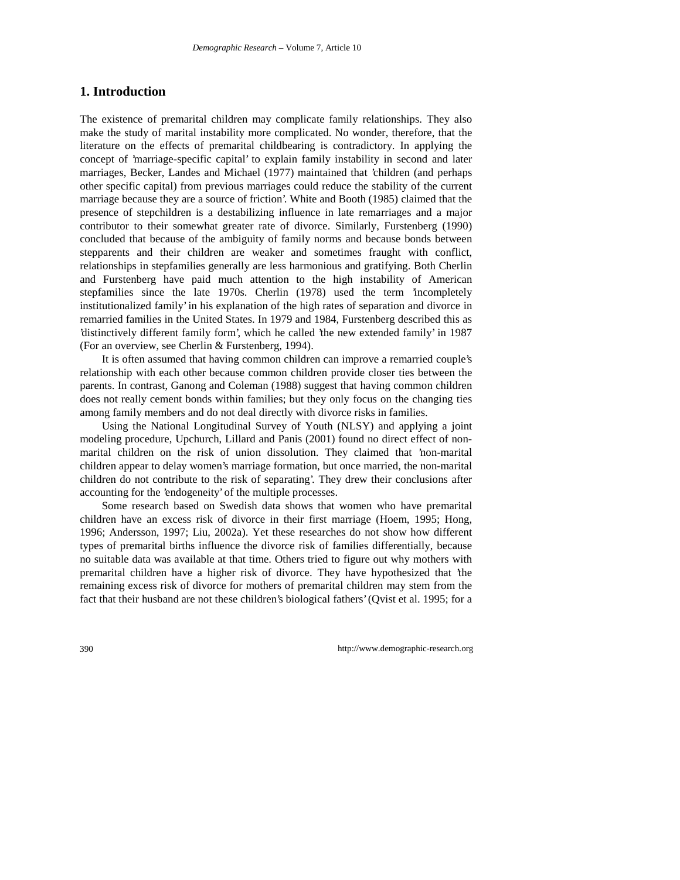## **1. Introduction**

The existence of premarital children may complicate family relationships. They also make the study of marital instability more complicated. No wonder, therefore, that the literature on the effects of premarital childbearing is contradictory. In applying the concept of 'marriage-specific capital' to explain family instability in second and later marriages, Becker, Landes and Michael (1977) maintained that 'children (and perhaps other specific capital) from previous marriages could reduce the stability of the current marriage because they are a source of friction'. White and Booth (1985) claimed that the presence of stepchildren is a destabilizing influence in late remarriages and a major contributor to their somewhat greater rate of divorce. Similarly, Furstenberg (1990) concluded that because of the ambiguity of family norms and because bonds between stepparents and their children are weaker and sometimes fraught with conflict, relationships in stepfamilies generally are less harmonious and gratifying. Both Cherlin and Furstenberg have paid much attention to the high instability of American stepfamilies since the late 1970s. Cherlin (1978) used the term 'incompletely institutionalized family' in his explanation of the high rates of separation and divorce in remarried families in the United States. In 1979 and 1984, Furstenberg described this as 'distinctively different family form', which he called 'the new extended family' in 1987 (For an overview, see Cherlin & Furstenberg, 1994).

It is often assumed that having common children can improve a remarried couple's relationship with each other because common children provide closer ties between the parents. In contrast, Ganong and Coleman (1988) suggest that having common children does not really cement bonds within families; but they only focus on the changing ties among family members and do not deal directly with divorce risks in families.

Using the National Longitudinal Survey of Youth (NLSY) and applying a joint modeling procedure, Upchurch, Lillard and Panis (2001) found no direct effect of nonmarital children on the risk of union dissolution. They claimed that 'non-marital children appear to delay women's marriage formation, but once married, the non-marital children do not contribute to the risk of separating'. They drew their conclusions after accounting for the 'endogeneity' of the multiple processes.

Some research based on Swedish data shows that women who have premarital children have an excess risk of divorce in their first marriage (Hoem, 1995; Hong, 1996; Andersson, 1997; Liu, 2002a). Yet these researches do not show how different types of premarital births influence the divorce risk of families differentially, because no suitable data was available at that time. Others tried to figure out why mothers with premarital children have a higher risk of divorce. They have hypothesized that 'the remaining excess risk of divorce for mothers of premarital children may stem from the fact that their husband are not these children's biological fathers' (Qvist et al. 1995; for a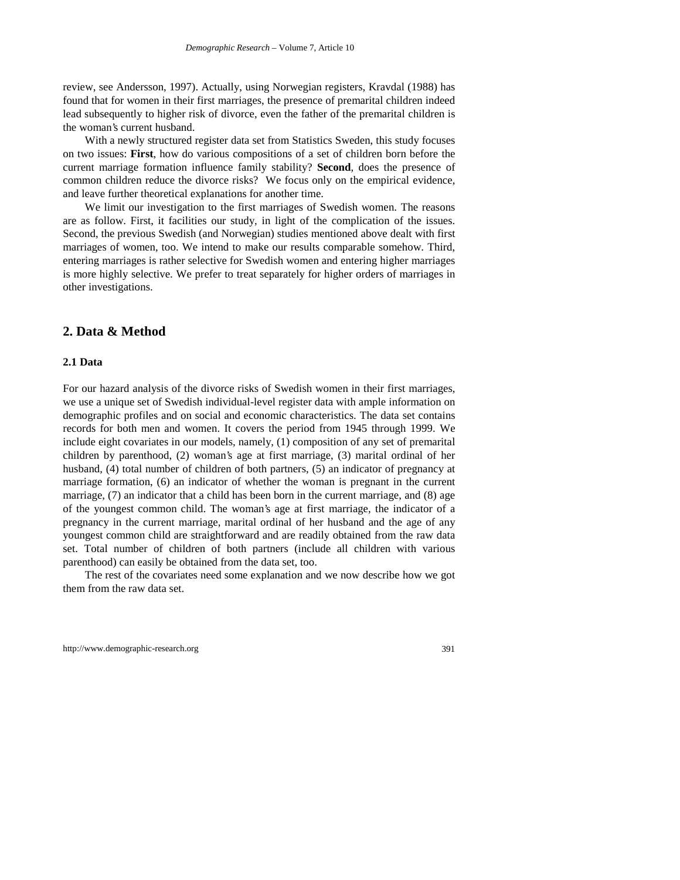review, see Andersson, 1997). Actually, using Norwegian registers, Kravdal (1988) has found that for women in their first marriages, the presence of premarital children indeed lead subsequently to higher risk of divorce, even the father of the premarital children is the woman's current husband.

With a newly structured register data set from Statistics Sweden, this study focuses on two issues: **First**, how do various compositions of a set of children born before the current marriage formation influence family stability? **Second**, does the presence of common children reduce the divorce risks? We focus only on the empirical evidence, and leave further theoretical explanations for another time.

We limit our investigation to the first marriages of Swedish women. The reasons are as follow. First, it facilities our study, in light of the complication of the issues. Second, the previous Swedish (and Norwegian) studies mentioned above dealt with first marriages of women, too. We intend to make our results comparable somehow. Third, entering marriages is rather selective for Swedish women and entering higher marriages is more highly selective. We prefer to treat separately for higher orders of marriages in other investigations.

### **2. Data & Method**

#### **2.1 Data**

For our hazard analysis of the divorce risks of Swedish women in their first marriages, we use a unique set of Swedish individual-level register data with ample information on demographic profiles and on social and economic characteristics. The data set contains records for both men and women. It covers the period from 1945 through 1999. We include eight covariates in our models, namely, (1) composition of any set of premarital children by parenthood, (2) woman's age at first marriage, (3) marital ordinal of her husband, (4) total number of children of both partners, (5) an indicator of pregnancy at marriage formation, (6) an indicator of whether the woman is pregnant in the current marriage, (7) an indicator that a child has been born in the current marriage, and (8) age of the youngest common child. The woman's age at first marriage, the indicator of a pregnancy in the current marriage, marital ordinal of her husband and the age of any youngest common child are straightforward and are readily obtained from the raw data set. Total number of children of both partners (include all children with various parenthood) can easily be obtained from the data set, too.

The rest of the covariates need some explanation and we now describe how we got them from the raw data set.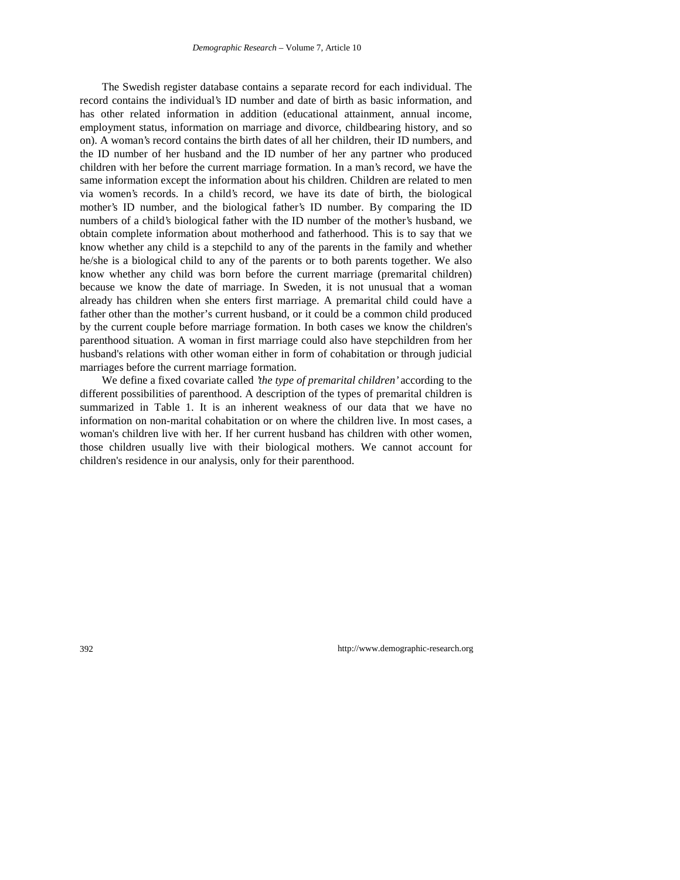The Swedish register database contains a separate record for each individual. The record contains the individual's ID number and date of birth as basic information, and has other related information in addition (educational attainment, annual income, employment status, information on marriage and divorce, childbearing history, and so on). A woman's record contains the birth dates of all her children, their ID numbers, and the ID number of her husband and the ID number of her any partner who produced children with her before the current marriage formation. In a man's record, we have the same information except the information about his children. Children are related to men via women's records. In a child's record, we have its date of birth, the biological mother's ID number, and the biological father's ID number. By comparing the ID numbers of a child's biological father with the ID number of the mother's husband, we obtain complete information about motherhood and fatherhood. This is to say that we know whether any child is a stepchild to any of the parents in the family and whether he/she is a biological child to any of the parents or to both parents together. We also know whether any child was born before the current marriage (premarital children) because we know the date of marriage. In Sweden, it is not unusual that a woman already has children when she enters first marriage. A premarital child could have a father other than the mother's current husband, or it could be a common child produced by the current couple before marriage formation. In both cases we know the children's parenthood situation. A woman in first marriage could also have stepchildren from her husband's relations with other woman either in form of cohabitation or through judicial marriages before the current marriage formation.

We define a fixed covariate called *'the type of premarital children'* according to the different possibilities of parenthood. A description of the types of premarital children is summarized in Table 1. It is an inherent weakness of our data that we have no information on non-marital cohabitation or on where the children live. In most cases, a woman's children live with her. If her current husband has children with other women, those children usually live with their biological mothers. We cannot account for children's residence in our analysis, only for their parenthood.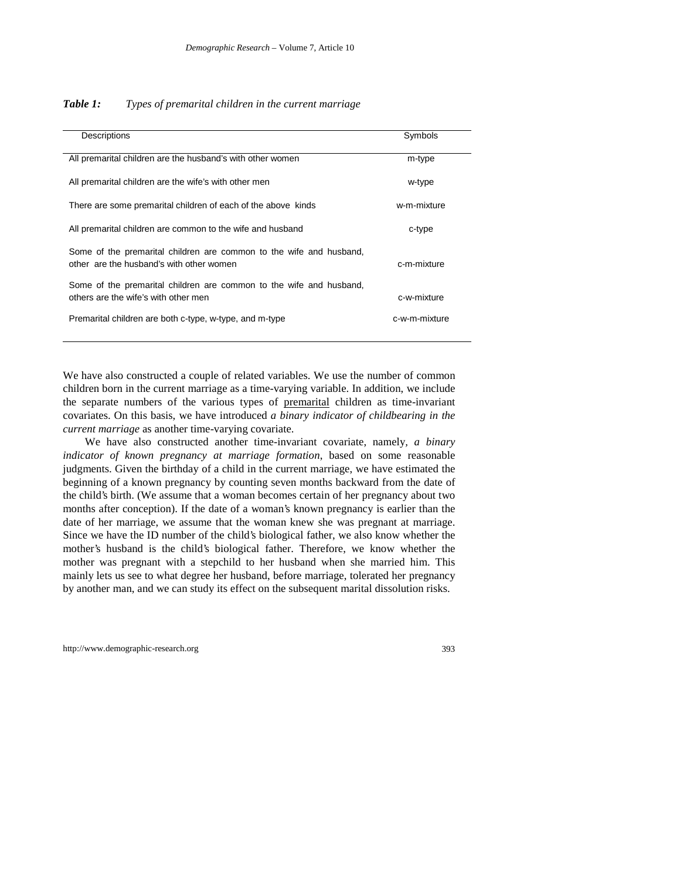| Descriptions                                                                                                    | Symbols       |
|-----------------------------------------------------------------------------------------------------------------|---------------|
| All premarital children are the husband's with other women                                                      | m-type        |
| All premarital children are the wife's with other men                                                           | w-type        |
| There are some premarital children of each of the above kinds                                                   | w-m-mixture   |
| All premarital children are common to the wife and husband                                                      | c-type        |
| Some of the premarital children are common to the wife and husband,<br>other are the husband's with other women | c-m-mixture   |
| Some of the premarital children are common to the wife and husband,<br>others are the wife's with other men     | c-w-mixture   |
| Premarital children are both c-type, w-type, and m-type                                                         | c-w-m-mixture |
|                                                                                                                 |               |

We have also constructed a couple of related variables. We use the number of common children born in the current marriage as a time-varying variable. In addition, we include the separate numbers of the various types of premarital children as time-invariant covariates. On this basis, we have introduced *a binary indicator of childbearing in the current marriage* as another time-varying covariate.

We have also constructed another time-invariant covariate, namely*, a binary indicator of known pregnancy at marriage formation*, based on some reasonable judgments. Given the birthday of a child in the current marriage, we have estimated the beginning of a known pregnancy by counting seven months backward from the date of the child's birth. (We assume that a woman becomes certain of her pregnancy about two months after conception). If the date of a woman's known pregnancy is earlier than the date of her marriage, we assume that the woman knew she was pregnant at marriage. Since we have the ID number of the child's biological father, we also know whether the mother's husband is the child's biological father. Therefore, we know whether the mother was pregnant with a stepchild to her husband when she married him. This mainly lets us see to what degree her husband, before marriage, tolerated her pregnancy by another man, and we can study its effect on the subsequent marital dissolution risks.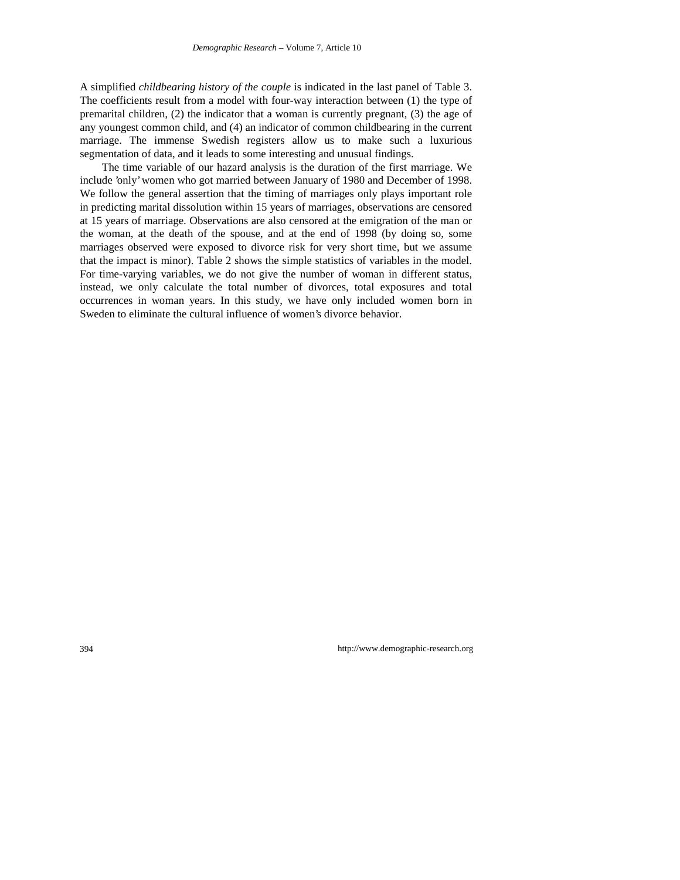A simplified *childbearing history of the couple* is indicated in the last panel of Table 3. The coefficients result from a model with four-way interaction between (1) the type of premarital children, (2) the indicator that a woman is currently pregnant, (3) the age of any youngest common child, and (4) an indicator of common childbearing in the current marriage. The immense Swedish registers allow us to make such a luxurious segmentation of data, and it leads to some interesting and unusual findings.

The time variable of our hazard analysis is the duration of the first marriage. We include 'only' women who got married between January of 1980 and December of 1998. We follow the general assertion that the timing of marriages only plays important role in predicting marital dissolution within 15 years of marriages, observations are censored at 15 years of marriage. Observations are also censored at the emigration of the man or the woman, at the death of the spouse, and at the end of 1998 (by doing so, some marriages observed were exposed to divorce risk for very short time, but we assume that the impact is minor). Table 2 shows the simple statistics of variables in the model. For time-varying variables, we do not give the number of woman in different status, instead, we only calculate the total number of divorces, total exposures and total occurrences in woman years. In this study, we have only included women born in Sweden to eliminate the cultural influence of women's divorce behavior.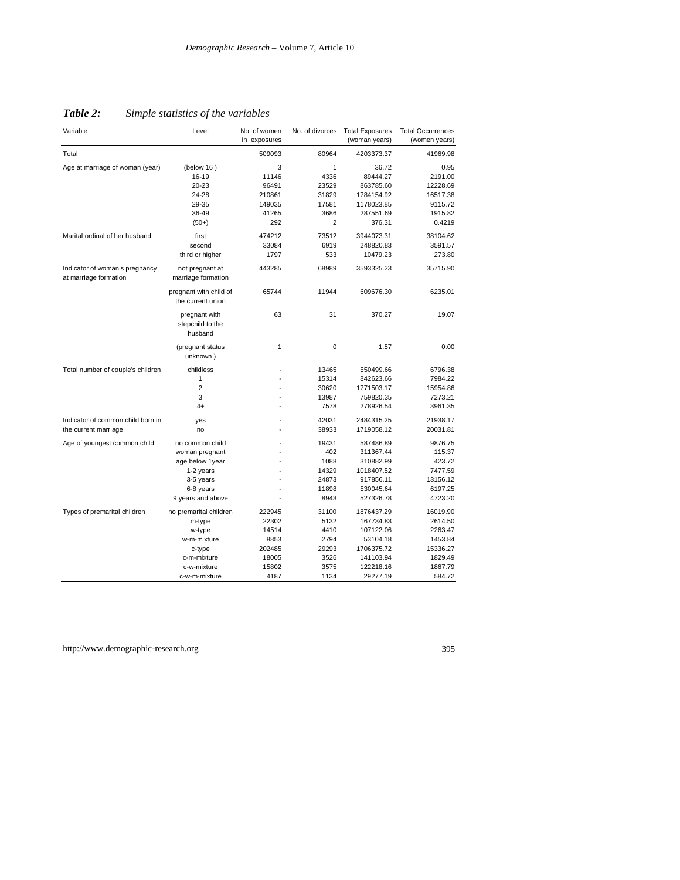| Variable                                                | Level                                        | No. of women   | No. of divorces | <b>Total Exposures</b> | <b>Total Occurrences</b> |
|---------------------------------------------------------|----------------------------------------------|----------------|-----------------|------------------------|--------------------------|
|                                                         |                                              | in exposures   |                 | (woman years)          | (women years)            |
| Total                                                   |                                              | 509093         | 80964           | 4203373.37             | 41969.98                 |
| Age at marriage of woman (year)                         | (below 16)                                   | 3              | $\mathbf{1}$    | 36.72                  | 0.95                     |
|                                                         | 16-19                                        | 11146          | 4336            | 89444.27               | 2191.00                  |
|                                                         | 20-23                                        | 96491          | 23529           | 863785.60              | 12228.69                 |
|                                                         | 24-28                                        | 210861         | 31829           | 1784154.92             | 16517.38                 |
|                                                         | 29-35                                        | 149035         | 17581           | 1178023.85             | 9115.72                  |
|                                                         | 36-49                                        | 41265          | 3686            | 287551.69              | 1915.82                  |
|                                                         | $(50+)$                                      | 292            | $\overline{2}$  | 376.31                 | 0.4219                   |
| Marital ordinal of her husband                          | first                                        | 474212         | 73512           | 3944073.31             | 38104.62                 |
|                                                         | second                                       | 33084          | 6919            | 248820.83              | 3591.57                  |
|                                                         | third or higher                              | 1797           | 533             | 10479.23               | 273.80                   |
| Indicator of woman's pregnancy<br>at marriage formation | not pregnant at<br>marriage formation        | 443285         | 68989           | 3593325.23             | 35715.90                 |
|                                                         | pregnant with child of<br>the current union  | 65744          | 11944           | 609676.30              | 6235.01                  |
|                                                         | pregnant with<br>stepchild to the<br>husband | 63             | 31              | 370.27                 | 19.07                    |
|                                                         | (pregnant status<br>unknown)                 | 1              | $\mathbf 0$     | 1.57                   | 0.00                     |
| Total number of couple's children                       | childless                                    |                | 13465           | 550499.66              | 6796.38                  |
|                                                         | $\mathbf{1}$                                 |                | 15314           | 842623.66              | 7984.22                  |
|                                                         | $\overline{2}$                               |                | 30620           | 1771503.17             | 15954.86                 |
|                                                         | 3                                            |                | 13987           | 759820.35              | 7273.21                  |
|                                                         | $4+$                                         |                | 7578            | 278926.54              | 3961.35                  |
| Indicator of common child born in                       | yes                                          |                | 42031           | 2484315.25             | 21938.17                 |
| the current marriage                                    | no                                           |                | 38933           | 1719058.12             | 20031.81                 |
| Age of youngest common child                            | no common child                              |                | 19431           | 587486.89              | 9876.75                  |
|                                                         | woman pregnant                               |                | 402             | 311367.44              | 115.37                   |
|                                                         | age below 1year                              |                | 1088            | 310882.99              | 423.72                   |
|                                                         | 1-2 years                                    |                | 14329           | 1018407.52             | 7477.59                  |
|                                                         | 3-5 years                                    |                | 24873           | 917856.11              | 13156.12                 |
|                                                         | 6-8 years                                    |                | 11898           | 530045.64              | 6197.25                  |
|                                                         | 9 years and above                            |                | 8943            | 527326.78              | 4723.20                  |
|                                                         |                                              |                |                 |                        |                          |
| Types of premarital children                            | no premarital children                       | 222945         | 31100           | 1876437.29             | 16019.90                 |
|                                                         | m-type                                       | 22302          | 5132            | 167734.83              | 2614.50                  |
|                                                         | w-type                                       | 14514          | 4410            | 107122.06              | 2263.47                  |
|                                                         | w-m-mixture                                  | 8853           | 2794            | 53104.18               | 1453.84                  |
|                                                         | c-type                                       | 202485         | 29293           | 1706375.72             | 15336.27                 |
|                                                         | c-m-mixture<br>c-w-mixture                   | 18005<br>15802 | 3526<br>3575    | 141103.94<br>122218.16 | 1829.49<br>1867.79       |
|                                                         | c-w-m-mixture                                | 4187           | 1134            | 29277.19               | 584.72                   |
|                                                         |                                              |                |                 |                        |                          |

*Table 2: Simple statistics of the variables*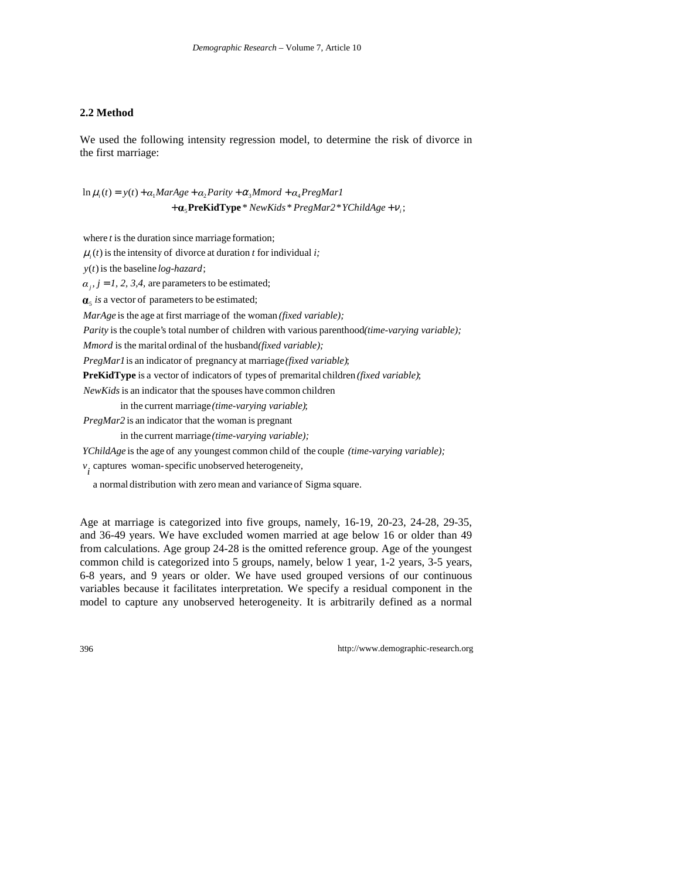#### **2.2 Method**

We used the following intensity regression model, to determine the risk of divorce in the first marriage:

+ **α**<sub>5</sub>**PreKidType** \* NewKids \* PregMar2 \* YChildAge + ν<sub>i</sub>;  $\ln \mu_i(t) = y(t) + \alpha_1 Markge + \alpha_2 Parity + \alpha_3 Mmord + \alpha_4 PresMar1$ 

where  $t$  is the duration since marriage formation;

 $\mu_i(t)$  is the intensity of divorce at duration t for individual i;

 $y(t)$  is the baseline  $log$ -hazard;

 $i_j$ ,  $j = 1, 2, 3, 4$ , are parameters to be estimated;

a vector of parameters to be estimated; 5 *is*

*MarAge* is the age at first marriage of the woman *(fixed variable)*;

Parity is the couple's total number of children with various parenthood(time-varying variable);

*Mmord* is the marital ordinal of the husband(*fixed variable*);

PregMar1 is an indicator of pregnancy at marriage (fixed variable);

**PreKidType** is a vector of indicators of types of premarital children (*fixed variable*);

NewKids is an indicator that the spouses have common children

in the current marriage *(time-varying variable)*;

*PregMar2* is an indicator that the woman is pregnant

in the current marriage *(time-varying variable);* 

YChildAge is the age of any youngest common child of the couple (time-varying variable);

captures woman-specific unobserved heterogeneity, *i v*

a normal distribution with zero mean and variance of Sigma square.

Age at marriage is categorized into five groups, namely, 16-19, 20-23, 24-28, 29-35, and 36-49 years. We have excluded women married at age below 16 or older than 49 from calculations. Age group 24-28 is the omitted reference group. Age of the youngest common child is categorized into 5 groups, namely, below 1 year, 1-2 years, 3-5 years, 6-8 years, and 9 years or older. We have used grouped versions of our continuous variables because it facilitates interpretation. We specify a residual component in the model to capture any unobserved heterogeneity. It is arbitrarily defined as a normal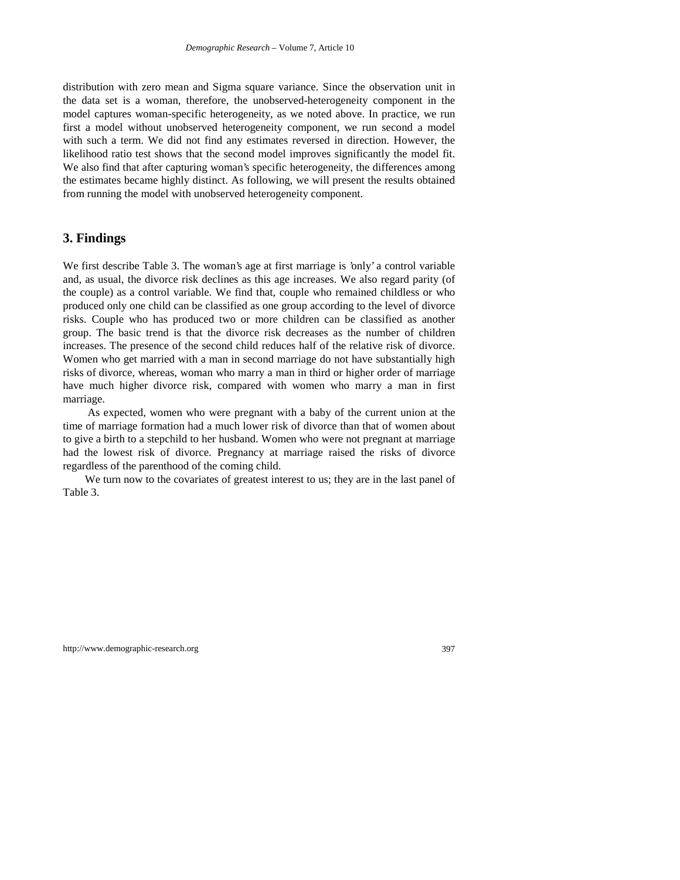distribution with zero mean and Sigma square variance. Since the observation unit in the data set is a woman, therefore, the unobserved-heterogeneity component in the model captures woman-specific heterogeneity, as we noted above. In practice, we run first a model without unobserved heterogeneity component, we run second a model with such a term. We did not find any estimates reversed in direction. However, the likelihood ratio test shows that the second model improves significantly the model fit. We also find that after capturing woman's specific heterogeneity, the differences among the estimates became highly distinct. As following, we will present the results obtained from running the model with unobserved heterogeneity component.

### **3. Findings**

We first describe Table 3. The woman's age at first marriage is 'only' a control variable and, as usual, the divorce risk declines as this age increases. We also regard parity (of the couple) as a control variable. We find that, couple who remained childless or who produced only one child can be classified as one group according to the level of divorce risks. Couple who has produced two or more children can be classified as another group. The basic trend is that the divorce risk decreases as the number of children increases. The presence of the second child reduces half of the relative risk of divorce. Women who get married with a man in second marriage do not have substantially high risks of divorce, whereas, woman who marry a man in third or higher order of marriage have much higher divorce risk, compared with women who marry a man in first marriage.

 As expected, women who were pregnant with a baby of the current union at the time of marriage formation had a much lower risk of divorce than that of women about to give a birth to a stepchild to her husband. Women who were not pregnant at marriage had the lowest risk of divorce. Pregnancy at marriage raised the risks of divorce regardless of the parenthood of the coming child.

We turn now to the covariates of greatest interest to us; they are in the last panel of Table 3.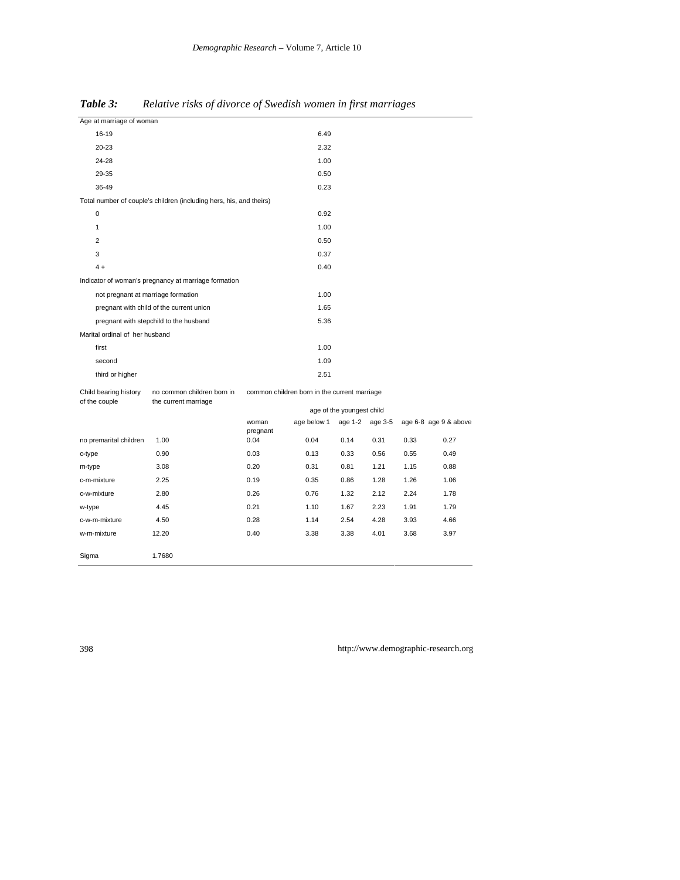| Age at marriage of woman               |                                                                     |                                              |                           |         |         |      |                       |
|----------------------------------------|---------------------------------------------------------------------|----------------------------------------------|---------------------------|---------|---------|------|-----------------------|
| 16-19                                  |                                                                     | 6.49                                         |                           |         |         |      |                       |
| 20-23                                  |                                                                     |                                              | 2.32                      |         |         |      |                       |
| 24-28                                  |                                                                     |                                              | 1.00                      |         |         |      |                       |
| 29-35                                  |                                                                     |                                              | 0.50                      |         |         |      |                       |
| 36-49                                  |                                                                     |                                              | 0.23                      |         |         |      |                       |
|                                        | Total number of couple's children (including hers, his, and theirs) |                                              |                           |         |         |      |                       |
| 0                                      |                                                                     | 0.92                                         |                           |         |         |      |                       |
| $\mathbf{1}$                           |                                                                     | 1.00                                         |                           |         |         |      |                       |
| $\overline{2}$                         |                                                                     | 0.50                                         |                           |         |         |      |                       |
| 3                                      |                                                                     | 0.37                                         |                           |         |         |      |                       |
| $4 +$                                  |                                                                     |                                              | 0.40                      |         |         |      |                       |
|                                        | Indicator of woman's pregnancy at marriage formation                |                                              |                           |         |         |      |                       |
| not pregnant at marriage formation     |                                                                     |                                              | 1.00                      |         |         |      |                       |
|                                        | pregnant with child of the current union                            |                                              | 1.65                      |         |         |      |                       |
|                                        | pregnant with stepchild to the husband                              |                                              | 5.36                      |         |         |      |                       |
| Marital ordinal of her husband         |                                                                     |                                              |                           |         |         |      |                       |
| first                                  |                                                                     |                                              | 1.00                      |         |         |      |                       |
| second                                 |                                                                     |                                              | 1.09                      |         |         |      |                       |
| third or higher                        |                                                                     |                                              | 2.51                      |         |         |      |                       |
| Child bearing history<br>of the couple | no common children born in<br>the current marriage                  | common children born in the current marriage |                           |         |         |      |                       |
|                                        |                                                                     |                                              | age of the youngest child |         |         |      |                       |
|                                        |                                                                     | woman<br>pregnant                            | age below 1               | age 1-2 | age 3-5 |      | age 6-8 age 9 & above |
| no premarital children                 | 1.00                                                                | 0.04                                         | 0.04                      | 0.14    | 0.31    | 0.33 | 0.27                  |
| c-type                                 | 0.90                                                                | 0.03                                         | 0.13                      | 0.33    | 0.56    | 0.55 | 0.49                  |
| m-type                                 | 3.08                                                                | 0.20                                         | 0.31                      | 0.81    | 1.21    | 1.15 | 0.88                  |
| c-m-mixture                            | 2.25                                                                | 0.19                                         | 0.35                      | 0.86    | 1.28    | 1.26 | 1.06                  |
| c-w-mixture                            | 2.80                                                                | 0.26                                         | 0.76                      | 1.32    | 2.12    | 2.24 | 1.78                  |
| w-type                                 | 4.45                                                                | 0.21                                         | 1.10                      | 1.67    | 2.23    | 1.91 | 1.79                  |
| c-w-m-mixture                          | 4.50                                                                | 0.28                                         | 1.14                      | 2.54    | 4.28    | 3.93 | 4.66                  |

w-m-mixture 12.20 0.40 3.38 3.38 4.01 3.68 3.97

*Table 3: Relative risks of divorce of Swedish women in first marriages*

Sigma 1.7680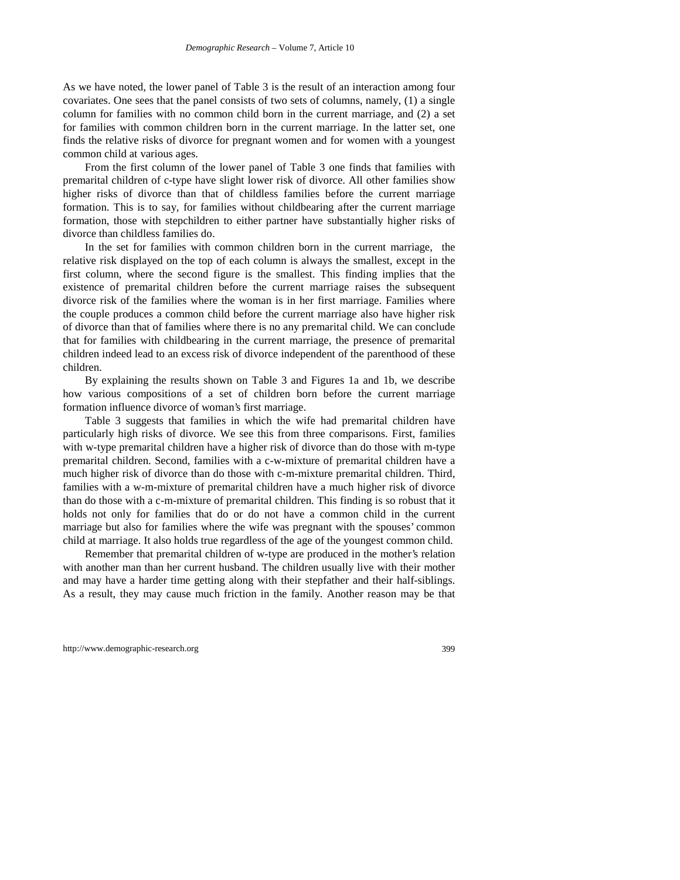As we have noted, the lower panel of Table 3 is the result of an interaction among four covariates. One sees that the panel consists of two sets of columns, namely, (1) a single column for families with no common child born in the current marriage, and (2) a set for families with common children born in the current marriage. In the latter set, one finds the relative risks of divorce for pregnant women and for women with a youngest common child at various ages.

From the first column of the lower panel of Table 3 one finds that families with premarital children of c-type have slight lower risk of divorce. All other families show higher risks of divorce than that of childless families before the current marriage formation. This is to say, for families without childbearing after the current marriage formation, those with stepchildren to either partner have substantially higher risks of divorce than childless families do.

In the set for families with common children born in the current marriage, the relative risk displayed on the top of each column is always the smallest, except in the first column, where the second figure is the smallest. This finding implies that the existence of premarital children before the current marriage raises the subsequent divorce risk of the families where the woman is in her first marriage. Families where the couple produces a common child before the current marriage also have higher risk of divorce than that of families where there is no any premarital child. We can conclude that for families with childbearing in the current marriage, the presence of premarital children indeed lead to an excess risk of divorce independent of the parenthood of these children.

By explaining the results shown on Table 3 and Figures 1a and 1b, we describe how various compositions of a set of children born before the current marriage formation influence divorce of woman's first marriage.

Table 3 suggests that families in which the wife had premarital children have particularly high risks of divorce. We see this from three comparisons. First, families with w-type premarital children have a higher risk of divorce than do those with m-type premarital children. Second, families with a c-w-mixture of premarital children have a much higher risk of divorce than do those with c-m-mixture premarital children. Third, families with a w-m-mixture of premarital children have a much higher risk of divorce than do those with a c-m-mixture of premarital children. This finding is so robust that it holds not only for families that do or do not have a common child in the current marriage but also for families where the wife was pregnant with the spouses' common child at marriage. It also holds true regardless of the age of the youngest common child.

Remember that premarital children of w-type are produced in the mother's relation with another man than her current husband. The children usually live with their mother and may have a harder time getting along with their stepfather and their half-siblings. As a result, they may cause much friction in the family. Another reason may be that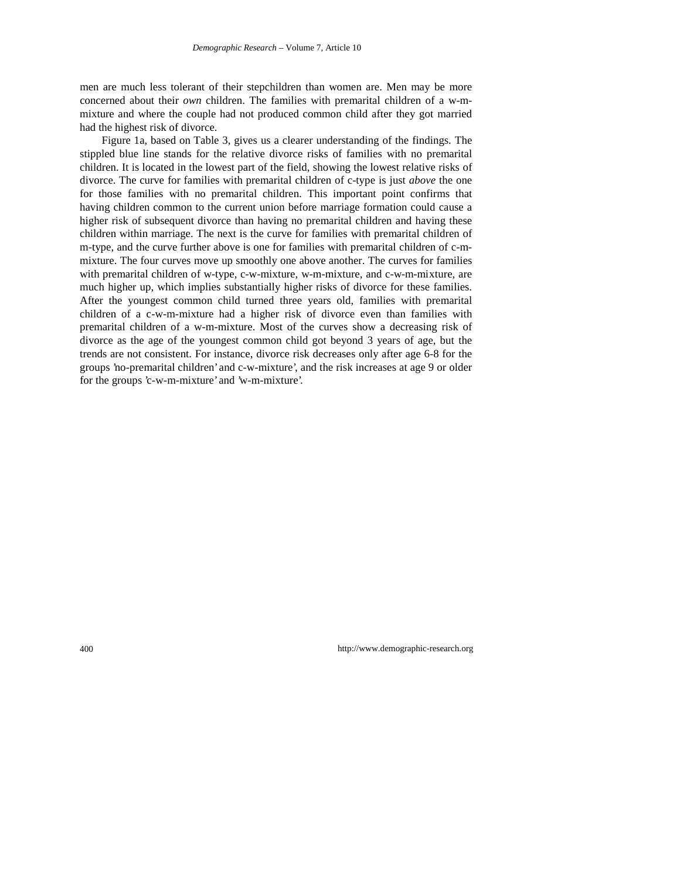men are much less tolerant of their stepchildren than women are. Men may be more concerned about their *own* children. The families with premarital children of a w-mmixture and where the couple had not produced common child after they got married had the highest risk of divorce.

Figure 1a, based on Table 3, gives us a clearer understanding of the findings. The stippled blue line stands for the relative divorce risks of families with no premarital children. It is located in the lowest part of the field, showing the lowest relative risks of divorce. The curve for families with premarital children of c-type is just *above* the one for those families with no premarital children. This important point confirms that having children common to the current union before marriage formation could cause a higher risk of subsequent divorce than having no premarital children and having these children within marriage. The next is the curve for families with premarital children of m-type, and the curve further above is one for families with premarital children of c-mmixture. The four curves move up smoothly one above another. The curves for families with premarital children of w-type, c-w-mixture, w-m-mixture, and c-w-m-mixture, are much higher up, which implies substantially higher risks of divorce for these families. After the youngest common child turned three years old, families with premarital children of a c-w-m-mixture had a higher risk of divorce even than families with premarital children of a w-m-mixture. Most of the curves show a decreasing risk of divorce as the age of the youngest common child got beyond 3 years of age, but the trends are not consistent. For instance, divorce risk decreases only after age 6-8 for the groups 'no-premarital children' and c-w-mixture', and the risk increases at age 9 or older for the groups 'c-w-m-mixture' and 'w-m-mixture'.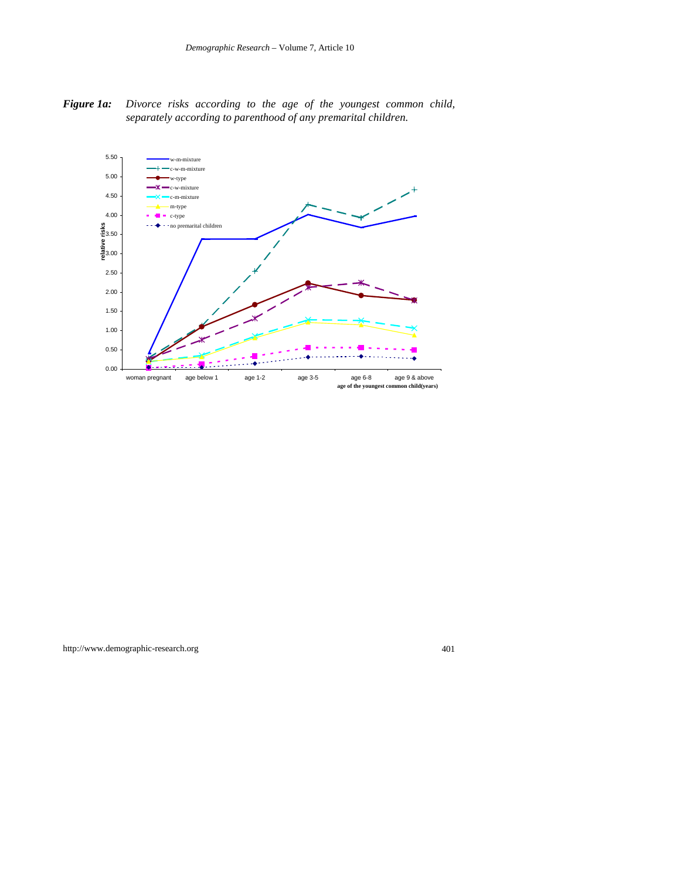*Figure 1a: Divorce risks according to the age of the youngest common child, separately according to parenthood of any premarital children.*

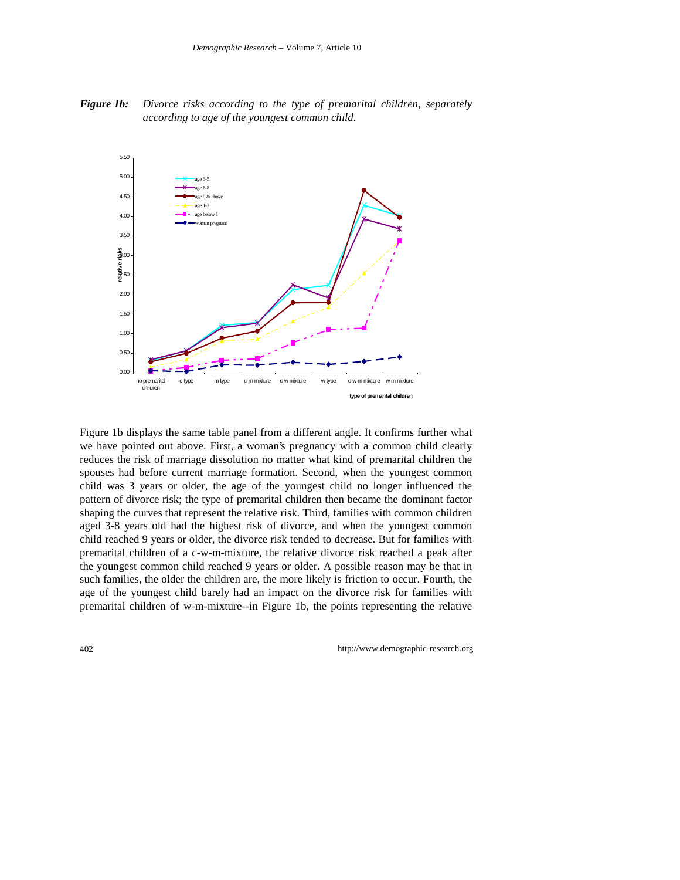*Figure 1b: Divorce risks according to the type of premarital children, separately according to age of the youngest common child.*



Figure 1b displays the same table panel from a different angle. It confirms further what we have pointed out above. First, a woman's pregnancy with a common child clearly reduces the risk of marriage dissolution no matter what kind of premarital children the spouses had before current marriage formation. Second, when the youngest common child was 3 years or older, the age of the youngest child no longer influenced the pattern of divorce risk; the type of premarital children then became the dominant factor shaping the curves that represent the relative risk. Third, families with common children aged 3-8 years old had the highest risk of divorce, and when the youngest common child reached 9 years or older, the divorce risk tended to decrease. But for families with premarital children of a c-w-m-mixture, the relative divorce risk reached a peak after the youngest common child reached 9 years or older. A possible reason may be that in such families, the older the children are, the more likely is friction to occur. Fourth, the age of the youngest child barely had an impact on the divorce risk for families with premarital children of w-m-mixture--in Figure 1b, the points representing the relative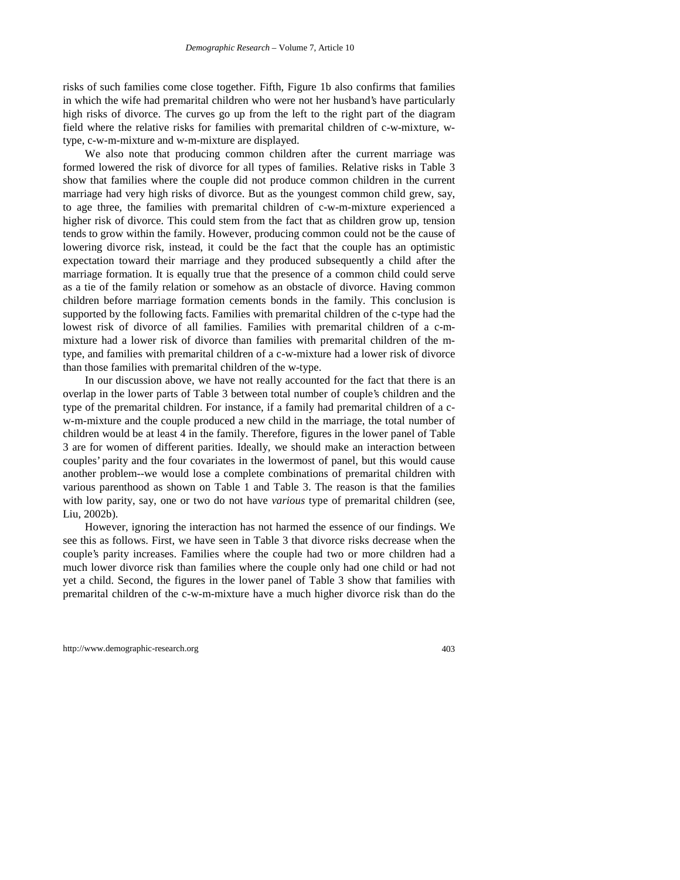risks of such families come close together. Fifth, Figure 1b also confirms that families in which the wife had premarital children who were not her husband's have particularly high risks of divorce. The curves go up from the left to the right part of the diagram field where the relative risks for families with premarital children of c-w-mixture, wtype, c-w-m-mixture and w-m-mixture are displayed.

We also note that producing common children after the current marriage was formed lowered the risk of divorce for all types of families. Relative risks in Table 3 show that families where the couple did not produce common children in the current marriage had very high risks of divorce. But as the youngest common child grew, say, to age three, the families with premarital children of c-w-m-mixture experienced a higher risk of divorce. This could stem from the fact that as children grow up, tension tends to grow within the family. However, producing common could not be the cause of lowering divorce risk, instead, it could be the fact that the couple has an optimistic expectation toward their marriage and they produced subsequently a child after the marriage formation. It is equally true that the presence of a common child could serve as a tie of the family relation or somehow as an obstacle of divorce. Having common children before marriage formation cements bonds in the family. This conclusion is supported by the following facts. Families with premarital children of the c-type had the lowest risk of divorce of all families. Families with premarital children of a c-mmixture had a lower risk of divorce than families with premarital children of the mtype, and families with premarital children of a c-w-mixture had a lower risk of divorce than those families with premarital children of the w-type.

In our discussion above, we have not really accounted for the fact that there is an overlap in the lower parts of Table 3 between total number of couple's children and the type of the premarital children. For instance, if a family had premarital children of a cw-m-mixture and the couple produced a new child in the marriage, the total number of children would be at least 4 in the family. Therefore, figures in the lower panel of Table 3 are for women of different parities. Ideally, we should make an interaction between couples' parity and the four covariates in the lowermost of panel, but this would cause another problem--we would lose a complete combinations of premarital children with various parenthood as shown on Table 1 and Table 3. The reason is that the families with low parity, say, one or two do not have *various* type of premarital children (see, Liu, 2002b).

However, ignoring the interaction has not harmed the essence of our findings. We see this as follows. First, we have seen in Table 3 that divorce risks decrease when the couple's parity increases. Families where the couple had two or more children had a much lower divorce risk than families where the couple only had one child or had not yet a child. Second, the figures in the lower panel of Table 3 show that families with premarital children of the c-w-m-mixture have a much higher divorce risk than do the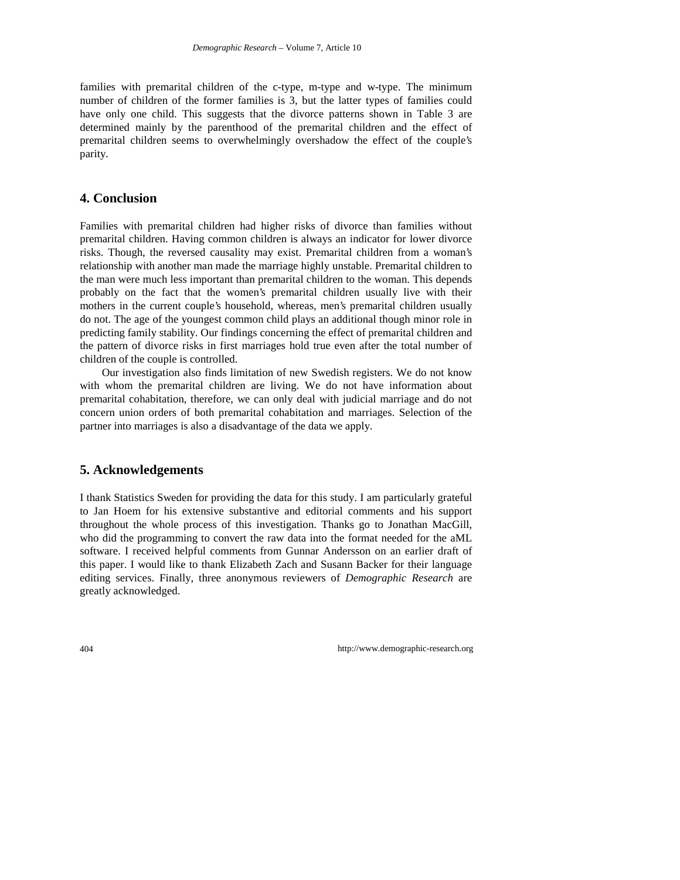families with premarital children of the c-type, m-type and w-type. The minimum number of children of the former families is 3, but the latter types of families could have only one child. This suggests that the divorce patterns shown in Table 3 are determined mainly by the parenthood of the premarital children and the effect of premarital children seems to overwhelmingly overshadow the effect of the couple's parity.

## **4. Conclusion**

Families with premarital children had higher risks of divorce than families without premarital children. Having common children is always an indicator for lower divorce risks. Though, the reversed causality may exist. Premarital children from a woman's relationship with another man made the marriage highly unstable. Premarital children to the man were much less important than premarital children to the woman. This depends probably on the fact that the women's premarital children usually live with their mothers in the current couple's household, whereas, men's premarital children usually do not. The age of the youngest common child plays an additional though minor role in predicting family stability. Our findings concerning the effect of premarital children and the pattern of divorce risks in first marriages hold true even after the total number of children of the couple is controlled.

Our investigation also finds limitation of new Swedish registers. We do not know with whom the premarital children are living. We do not have information about premarital cohabitation, therefore, we can only deal with judicial marriage and do not concern union orders of both premarital cohabitation and marriages. Selection of the partner into marriages is also a disadvantage of the data we apply.

## **5. Acknowledgements**

I thank Statistics Sweden for providing the data for this study. I am particularly grateful to Jan Hoem for his extensive substantive and editorial comments and his support throughout the whole process of this investigation. Thanks go to Jonathan MacGill, who did the programming to convert the raw data into the format needed for the aML software. I received helpful comments from Gunnar Andersson on an earlier draft of this paper. I would like to thank Elizabeth Zach and Susann Backer for their language editing services. Finally, three anonymous reviewers of *Demographic Research* are greatly acknowledged.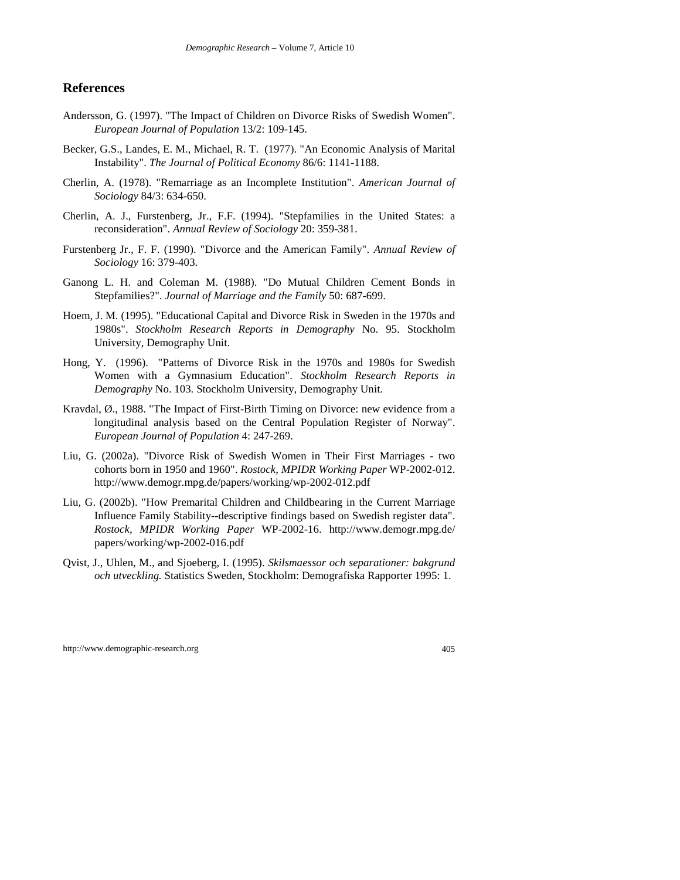#### **References**

- Andersson, G. (1997). "The Impact of Children on Divorce Risks of Swedish Women". *European Journal of Population* 13/2: 109-145.
- Becker, G.S., Landes, E. M., Michael, R. T. (1977). "An Economic Analysis of Marital Instability". *The Journal of Political Economy* 86/6: 1141-1188.
- Cherlin, A. (1978). "Remarriage as an Incomplete Institution". *American Journal of Sociology* 84/3: 634-650.
- Cherlin, A. J., Furstenberg, Jr., F.F. (1994). "Stepfamilies in the United States: a reconsideration". *Annual Review of Sociology* 20: 359-381.
- Furstenberg Jr., F. F. (1990). "Divorce and the American Family". *Annual Review of Sociology* 16: 379-403.
- Ganong L. H. and Coleman M. (1988). "Do Mutual Children Cement Bonds in Stepfamilies?". *Journal of Marriage and the Family* 50: 687-699.
- Hoem, J. M. (1995). "Educational Capital and Divorce Risk in Sweden in the 1970s and 1980s". *Stockholm Research Reports in Demography* No. 95. Stockholm University, Demography Unit.
- Hong, Y. (1996). "Patterns of Divorce Risk in the 1970s and 1980s for Swedish Women with a Gymnasium Education". *Stockholm Research Reports in Demography* No. 103. Stockholm University, Demography Unit.
- Kravdal, Ø., 1988. "The Impact of First-Birth Timing on Divorce: new evidence from a longitudinal analysis based on the Central Population Register of Norway". *European Journal of Population* 4: 247-269.
- Liu, G. (2002a). "Divorce Risk of Swedish Women in Their First Marriages two cohorts born in 1950 and 1960". *Rostock, MPIDR Working Paper* WP-2002-012. http://www.demogr.mpg.de/papers/working/wp-2002-012.pdf
- Liu, G. (2002b). "How Premarital Children and Childbearing in the Current Marriage Influence Family Stability--descriptive findings based on Swedish register data". *Rostock, MPIDR Working Paper* WP-2002-16. http://www.demogr.mpg.de/ papers/working/wp-2002-016.pdf
- Qvist, J., Uhlen, M., and Sjoeberg, I. (1995). *Skilsmaessor och separationer: bakgrund och utveckling.* Statistics Sweden, Stockholm: Demografiska Rapporter 1995: 1.